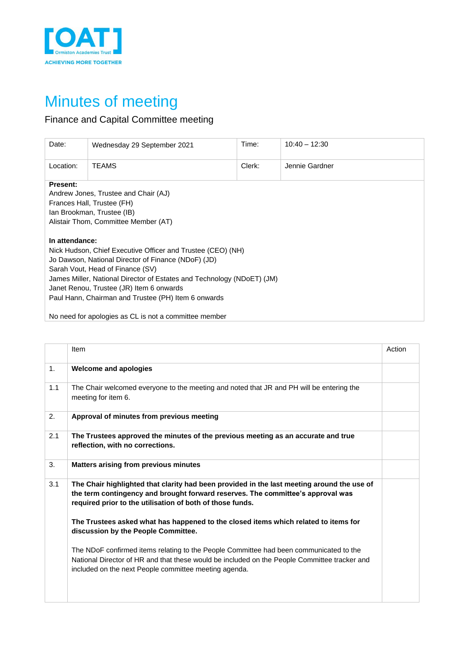

## Minutes of meeting

## Finance and Capital Committee meeting

| Date:                                                                                                                                                                                                                                                                                                                                                 | Wednesday 29 September 2021                           | Time:  | $10:40 - 12:30$ |  |  |  |
|-------------------------------------------------------------------------------------------------------------------------------------------------------------------------------------------------------------------------------------------------------------------------------------------------------------------------------------------------------|-------------------------------------------------------|--------|-----------------|--|--|--|
| Location:                                                                                                                                                                                                                                                                                                                                             | <b>TEAMS</b>                                          | Clerk: | Jennie Gardner  |  |  |  |
| <b>Present:</b><br>Andrew Jones, Trustee and Chair (AJ)<br>Frances Hall, Trustee (FH)<br>Ian Brookman, Trustee (IB)<br>Alistair Thom, Committee Member (AT)                                                                                                                                                                                           |                                                       |        |                 |  |  |  |
| In attendance:<br>Nick Hudson, Chief Executive Officer and Trustee (CEO) (NH)<br>Jo Dawson, National Director of Finance (NDoF) (JD)<br>Sarah Vout, Head of Finance (SV)<br>James Miller, National Director of Estates and Technology (NDoET) (JM)<br>Janet Renou, Trustee (JR) Item 6 onwards<br>Paul Hann, Chairman and Trustee (PH) Item 6 onwards |                                                       |        |                 |  |  |  |
|                                                                                                                                                                                                                                                                                                                                                       | No need for apologies as CL is not a committee member |        |                 |  |  |  |

|     | Item                                                                                                                                                                                                                                            | Action |
|-----|-------------------------------------------------------------------------------------------------------------------------------------------------------------------------------------------------------------------------------------------------|--------|
| 1.  | <b>Welcome and apologies</b>                                                                                                                                                                                                                    |        |
| 1.1 | The Chair welcomed everyone to the meeting and noted that JR and PH will be entering the<br>meeting for item 6.                                                                                                                                 |        |
| 2.  | Approval of minutes from previous meeting                                                                                                                                                                                                       |        |
| 2.1 | The Trustees approved the minutes of the previous meeting as an accurate and true<br>reflection, with no corrections.                                                                                                                           |        |
| 3.  | Matters arising from previous minutes                                                                                                                                                                                                           |        |
| 3.1 | The Chair highlighted that clarity had been provided in the last meeting around the use of<br>the term contingency and brought forward reserves. The committee's approval was<br>required prior to the utilisation of both of those funds.      |        |
|     | The Trustees asked what has happened to the closed items which related to items for<br>discussion by the People Committee.                                                                                                                      |        |
|     | The NDoF confirmed items relating to the People Committee had been communicated to the<br>National Director of HR and that these would be included on the People Committee tracker and<br>included on the next People committee meeting agenda. |        |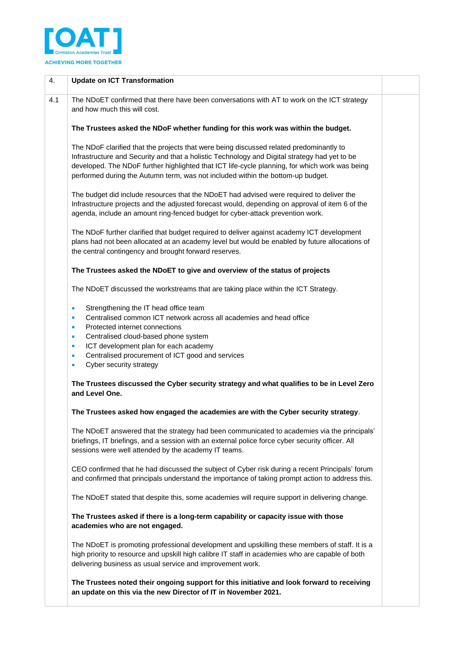

| 4.  | <b>Update on ICT Transformation</b>                                                                                                                                                                                                                                                                                                                                           |
|-----|-------------------------------------------------------------------------------------------------------------------------------------------------------------------------------------------------------------------------------------------------------------------------------------------------------------------------------------------------------------------------------|
| 4.1 | The NDoET confirmed that there have been conversations with AT to work on the ICT strategy<br>and how much this will cost.                                                                                                                                                                                                                                                    |
|     | The Trustees asked the NDoF whether funding for this work was within the budget.                                                                                                                                                                                                                                                                                              |
|     | The NDoF clarified that the projects that were being discussed related predominantly to<br>Infrastructure and Security and that a holistic Technology and Digital strategy had yet to be<br>developed. The NDoF further highlighted that ICT life-cycle planning, for which work was being<br>performed during the Autumn term, was not included within the bottom-up budget. |
|     | The budget did include resources that the NDoET had advised were required to deliver the<br>Infrastructure projects and the adjusted forecast would, depending on approval of item 6 of the<br>agenda, include an amount ring-fenced budget for cyber-attack prevention work.                                                                                                 |
|     | The NDoF further clarified that budget required to deliver against academy ICT development<br>plans had not been allocated at an academy level but would be enabled by future allocations of<br>the central contingency and brought forward reserves.                                                                                                                         |
|     | The Trustees asked the NDoET to give and overview of the status of projects                                                                                                                                                                                                                                                                                                   |
|     | The NDoET discussed the workstreams that are taking place within the ICT Strategy.                                                                                                                                                                                                                                                                                            |
|     | Strengthening the IT head office team<br>٠<br>Centralised common ICT network across all academies and head office<br>ш<br>Protected internet connections<br>٠<br>Centralised cloud-based phone system<br>٠<br>ICT development plan for each academy<br>ш<br>Centralised procurement of ICT good and services<br>ш<br>Cyber security strategy<br>×                             |
|     | The Trustees discussed the Cyber security strategy and what qualifies to be in Level Zero<br>and Level One.                                                                                                                                                                                                                                                                   |
|     | The Trustees asked how engaged the academies are with the Cyber security strategy.                                                                                                                                                                                                                                                                                            |
|     | The NDoET answered that the strategy had been communicated to academies via the principals'<br>briefings, IT briefings, and a session with an external police force cyber security officer. All<br>sessions were well attended by the academy IT teams.                                                                                                                       |
|     | CEO confirmed that he had discussed the subject of Cyber risk during a recent Principals' forum<br>and confirmed that principals understand the importance of taking prompt action to address this.                                                                                                                                                                           |
|     | The NDoET stated that despite this, some academies will require support in delivering change.                                                                                                                                                                                                                                                                                 |
|     | The Trustees asked if there is a long-term capability or capacity issue with those<br>academies who are not engaged.                                                                                                                                                                                                                                                          |
|     | The NDoET is promoting professional development and upskilling these members of staff. It is a<br>high priority to resource and upskill high calibre IT staff in academies who are capable of both<br>delivering business as usual service and improvement work.                                                                                                              |
|     | The Trustees noted their ongoing support for this initiative and look forward to receiving<br>an update on this via the new Director of IT in November 2021.                                                                                                                                                                                                                  |
|     |                                                                                                                                                                                                                                                                                                                                                                               |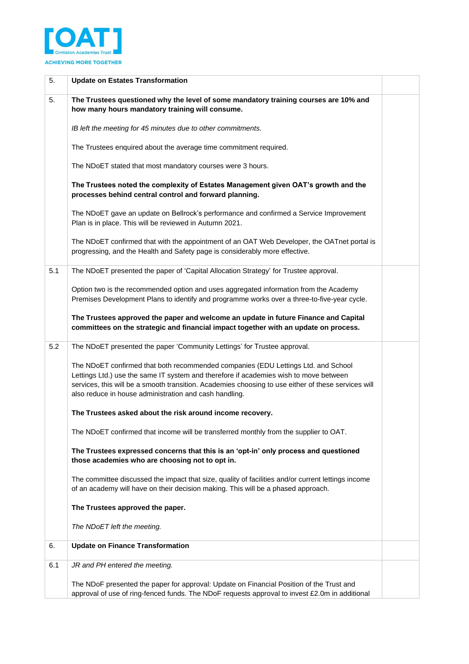

| 5.  | <b>Update on Estates Transformation</b>                                                                                                                                                                                                                                                                                                     |  |
|-----|---------------------------------------------------------------------------------------------------------------------------------------------------------------------------------------------------------------------------------------------------------------------------------------------------------------------------------------------|--|
| 5.  | The Trustees questioned why the level of some mandatory training courses are 10% and<br>how many hours mandatory training will consume.                                                                                                                                                                                                     |  |
|     | IB left the meeting for 45 minutes due to other commitments.                                                                                                                                                                                                                                                                                |  |
|     | The Trustees enquired about the average time commitment required.                                                                                                                                                                                                                                                                           |  |
|     | The NDoET stated that most mandatory courses were 3 hours.                                                                                                                                                                                                                                                                                  |  |
|     | The Trustees noted the complexity of Estates Management given OAT's growth and the<br>processes behind central control and forward planning.                                                                                                                                                                                                |  |
|     | The NDoET gave an update on Bellrock's performance and confirmed a Service Improvement<br>Plan is in place. This will be reviewed in Autumn 2021.                                                                                                                                                                                           |  |
|     | The NDoET confirmed that with the appointment of an OAT Web Developer, the OATnet portal is<br>progressing, and the Health and Safety page is considerably more effective.                                                                                                                                                                  |  |
| 5.1 | The NDoET presented the paper of 'Capital Allocation Strategy' for Trustee approval.                                                                                                                                                                                                                                                        |  |
|     | Option two is the recommended option and uses aggregated information from the Academy<br>Premises Development Plans to identify and programme works over a three-to-five-year cycle.                                                                                                                                                        |  |
|     | The Trustees approved the paper and welcome an update in future Finance and Capital<br>committees on the strategic and financial impact together with an update on process.                                                                                                                                                                 |  |
| 5.2 | The NDoET presented the paper 'Community Lettings' for Trustee approval.                                                                                                                                                                                                                                                                    |  |
|     | The NDoET confirmed that both recommended companies (EDU Lettings Ltd. and School<br>Lettings Ltd.) use the same IT system and therefore if academies wish to move between<br>services, this will be a smooth transition. Academies choosing to use either of these services will<br>also reduce in house administration and cash handling. |  |
|     | The Trustees asked about the risk around income recovery.                                                                                                                                                                                                                                                                                   |  |
|     | The NDoET confirmed that income will be transferred monthly from the supplier to OAT.                                                                                                                                                                                                                                                       |  |
|     | The Trustees expressed concerns that this is an 'opt-in' only process and questioned<br>those academies who are choosing not to opt in.                                                                                                                                                                                                     |  |
|     | The committee discussed the impact that size, quality of facilities and/or current lettings income<br>of an academy will have on their decision making. This will be a phased approach.                                                                                                                                                     |  |
|     | The Trustees approved the paper.                                                                                                                                                                                                                                                                                                            |  |
|     | The NDoET left the meeting.                                                                                                                                                                                                                                                                                                                 |  |
| 6.  | <b>Update on Finance Transformation</b>                                                                                                                                                                                                                                                                                                     |  |
| 6.1 | JR and PH entered the meeting.                                                                                                                                                                                                                                                                                                              |  |
|     | The NDoF presented the paper for approval: Update on Financial Position of the Trust and<br>approval of use of ring-fenced funds. The NDoF requests approval to invest £2.0m in additional                                                                                                                                                  |  |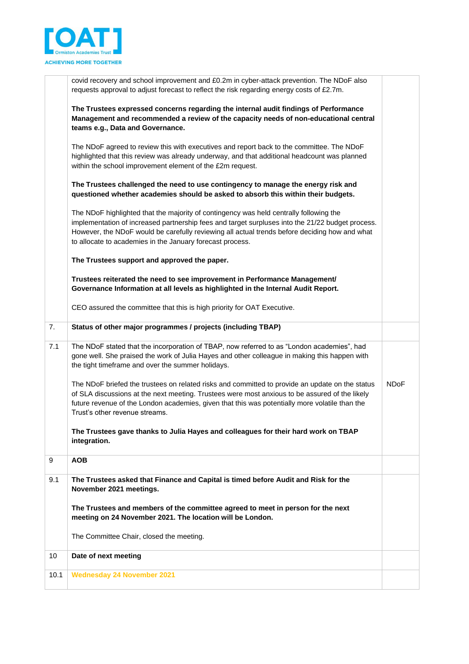

|      | covid recovery and school improvement and £0.2m in cyber-attack prevention. The NDoF also<br>requests approval to adjust forecast to reflect the risk regarding energy costs of £2.7m.                                                                                                                                                                   |             |
|------|----------------------------------------------------------------------------------------------------------------------------------------------------------------------------------------------------------------------------------------------------------------------------------------------------------------------------------------------------------|-------------|
|      | The Trustees expressed concerns regarding the internal audit findings of Performance<br>Management and recommended a review of the capacity needs of non-educational central<br>teams e.g., Data and Governance.                                                                                                                                         |             |
|      | The NDoF agreed to review this with executives and report back to the committee. The NDoF<br>highlighted that this review was already underway, and that additional headcount was planned<br>within the school improvement element of the £2m request.                                                                                                   |             |
|      | The Trustees challenged the need to use contingency to manage the energy risk and<br>questioned whether academies should be asked to absorb this within their budgets.                                                                                                                                                                                   |             |
|      | The NDoF highlighted that the majority of contingency was held centrally following the<br>implementation of increased partnership fees and target surpluses into the 21/22 budget process.<br>However, the NDoF would be carefully reviewing all actual trends before deciding how and what<br>to allocate to academies in the January forecast process. |             |
|      | The Trustees support and approved the paper.                                                                                                                                                                                                                                                                                                             |             |
|      | Trustees reiterated the need to see improvement in Performance Management/<br>Governance Information at all levels as highlighted in the Internal Audit Report.                                                                                                                                                                                          |             |
|      | CEO assured the committee that this is high priority for OAT Executive.                                                                                                                                                                                                                                                                                  |             |
| 7.   | Status of other major programmes / projects (including TBAP)                                                                                                                                                                                                                                                                                             |             |
| 7.1  | The NDoF stated that the incorporation of TBAP, now referred to as "London academies", had<br>gone well. She praised the work of Julia Hayes and other colleague in making this happen with<br>the tight timeframe and over the summer holidays.                                                                                                         |             |
|      | The NDoF briefed the trustees on related risks and committed to provide an update on the status<br>of SLA discussions at the next meeting. Trustees were most anxious to be assured of the likely<br>future revenue of the London academies, given that this was potentially more volatile than the<br>Trust's other revenue streams.                    | <b>NDoF</b> |
|      | The Trustees gave thanks to Julia Hayes and colleagues for their hard work on TBAP<br>integration.                                                                                                                                                                                                                                                       |             |
| 9    | <b>AOB</b>                                                                                                                                                                                                                                                                                                                                               |             |
| 9.1  | The Trustees asked that Finance and Capital is timed before Audit and Risk for the<br>November 2021 meetings.                                                                                                                                                                                                                                            |             |
|      | The Trustees and members of the committee agreed to meet in person for the next<br>meeting on 24 November 2021. The location will be London.                                                                                                                                                                                                             |             |
|      | The Committee Chair, closed the meeting.                                                                                                                                                                                                                                                                                                                 |             |
| 10   | Date of next meeting                                                                                                                                                                                                                                                                                                                                     |             |
| 10.1 | <b>Wednesday 24 November 2021</b>                                                                                                                                                                                                                                                                                                                        |             |